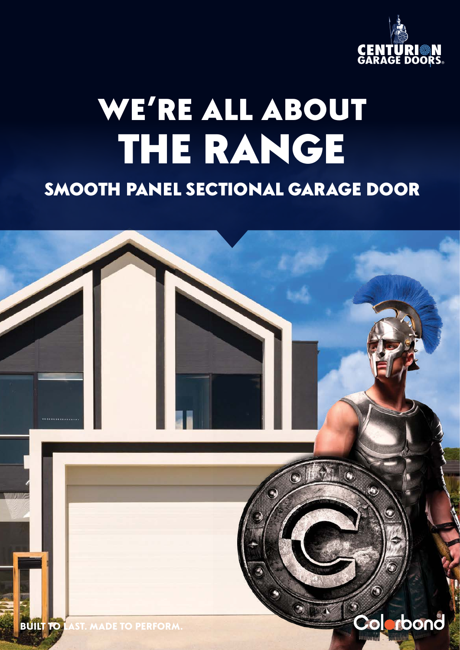

# WE'RE ALL ABOUT THE RANGE SMOOTH PANEL SECTIONAL GARAGE DOOR

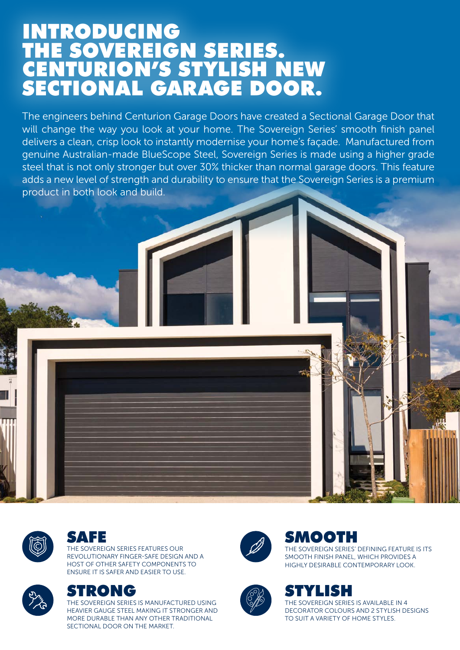## INTRODUCING THE SOVEREIGN SERIES. CENTURION'S STYLISH NEW SECTIONAL GARAGE DOOR.

The engineers behind Centurion Garage Doors have created a Sectional Garage Door that will change the way you look at your home. The Sovereign Series' smooth finish panel delivers a clean, crisp look to instantly modernise your home's façade. Manufactured from genuine Australian-made BlueScope Steel, Sovereign Series is made using a higher grade steel that is not only stronger but over 30% thicker than normal garage doors. This feature adds a new level of strength and durability to ensure that the Sovereign Series is a premium product in both look and build.



#### SAFE

THE SOVEREIGN SERIES FEATURES OUR REVOLUTIONARY FINGER-SAFE DESIGN AND A HOST OF OTHER SAFETY COMPONENTS TO ENSURE IT IS SAFER AND EASIER TO USE.



IRONG

THE SOVEREIGN SERIES IS MANUFACTURED USING HEAVIER GAUGE STEEL MAKING IT STRONGER AND MORE DURABLE THAN ANY OTHER TRADITIONAL SECTIONAL DOOR ON THE MARKET.



### SMOOTH

THE SOVEREIGN SERIES' DEFINING FEATURE IS ITS SMOOTH FINISH PANEL, WHICH PROVIDES A HIGHLY DESIRABLE CONTEMPORARY LOOK.



#### STYLISH

THE SOVEREIGN SERIES IS AVAILABLE IN 4 DECORATOR COLOURS AND 2 STYLISH DESIGNS TO SUIT A VARIETY OF HOME STYLES.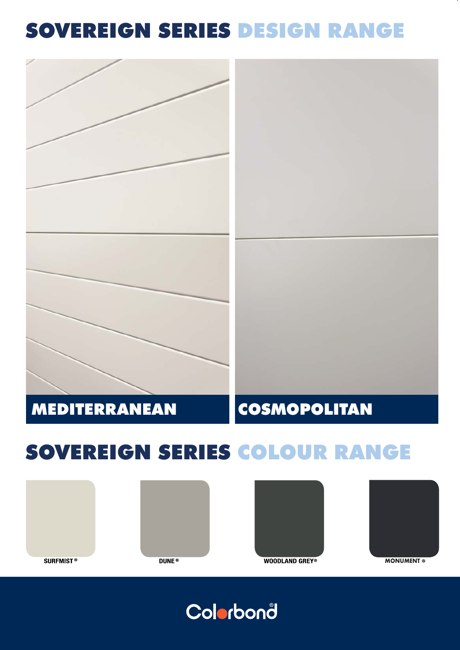## SOVEREIGN SERIES DESIGN RANGE



## SOVEREIGN SERIES COLOUR RANGE









**WOODLAND GREY®** 

**MONUMENT ®**